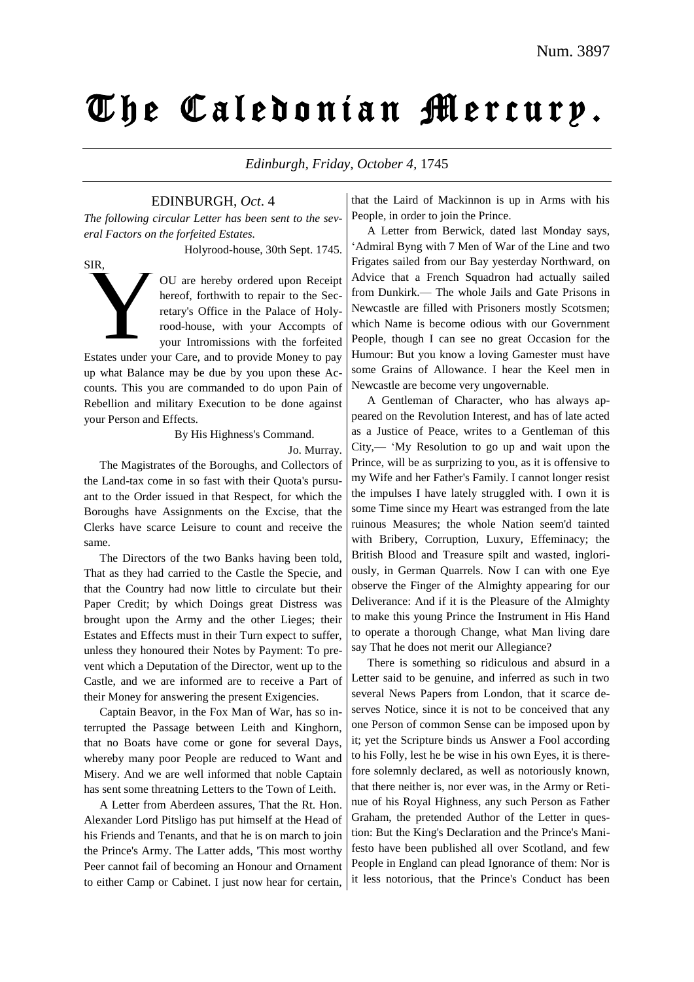# The Caledonian Mercury.

*Edinburgh, Friday, October 4,* 1745

EDINBURGH, *Oct*. 4

*The following circular Letter has been sent to the several Factors on the forfeited Estates.*

Holyrood-house, 30th Sept. 1745.

SIR,

OU are hereby ordered upon Receipt hereof, forthwith to repair to the Secretary's Office in the Palace of Holyrood-house, with your Accompts of your Intromissions with the forfeited

Estates under your Care, and to provide Money to pay up what Balance may be due by you upon these Accounts. This you are commanded to do upon Pain of Rebellion and military Execution to be done against your Person and Effects. SIR,

By His Highness's Command.

Jo. Murray.

The Magistrates of the Boroughs, and Collectors of the Land-tax come in so fast with their Quota's pursuant to the Order issued in that Respect, for which the Boroughs have Assignments on the Excise, that the Clerks have scarce Leisure to count and receive the same.

The Directors of the two Banks having been told, That as they had carried to the Castle the Specie, and that the Country had now little to circulate but their Paper Credit; by which Doings great Distress was brought upon the Army and the other Lieges; their Estates and Effects must in their Turn expect to suffer, unless they honoured their Notes by Payment: To prevent which a Deputation of the Director, went up to the Castle, and we are informed are to receive a Part of their Money for answering the present Exigencies.

Captain Beavor, in the Fox Man of War, has so interrupted the Passage between Leith and Kinghorn, that no Boats have come or gone for several Days, whereby many poor People are reduced to Want and Misery. And we are well informed that noble Captain has sent some threatning Letters to the Town of Leith.

A Letter from Aberdeen assures, That the Rt. Hon. Alexander Lord Pitsligo has put himself at the Head of his Friends and Tenants, and that he is on march to join the Prince's Army. The Latter adds, 'This most worthy Peer cannot fail of becoming an Honour and Ornament to either Camp or Cabinet. I just now hear for certain, that the Laird of Mackinnon is up in Arms with his People, in order to join the Prince.

A Letter from Berwick, dated last Monday says, 'Admiral Byng with 7 Men of War of the Line and two Frigates sailed from our Bay yesterday Northward, on Advice that a French Squadron had actually sailed from Dunkirk.— The whole Jails and Gate Prisons in Newcastle are filled with Prisoners mostly Scotsmen; which Name is become odious with our Government People, though I can see no great Occasion for the Humour: But you know a loving Gamester must have some Grains of Allowance. I hear the Keel men in Newcastle are become very ungovernable.

A Gentleman of Character, who has always appeared on the Revolution Interest, and has of late acted as a Justice of Peace, writes to a Gentleman of this City,— 'My Resolution to go up and wait upon the Prince, will be as surprizing to you, as it is offensive to my Wife and her Father's Family. I cannot longer resist the impulses I have lately struggled with. I own it is some Time since my Heart was estranged from the late ruinous Measures; the whole Nation seem'd tainted with Bribery, Corruption, Luxury, Effeminacy; the British Blood and Treasure spilt and wasted, ingloriously, in German Quarrels. Now I can with one Eye observe the Finger of the Almighty appearing for our Deliverance: And if it is the Pleasure of the Almighty to make this young Prince the Instrument in His Hand to operate a thorough Change, what Man living dare say That he does not merit our Allegiance?

There is something so ridiculous and absurd in a Letter said to be genuine, and inferred as such in two several News Papers from London, that it scarce deserves Notice, since it is not to be conceived that any one Person of common Sense can be imposed upon by it; yet the Scripture binds us Answer a Fool according to his Folly, lest he be wise in his own Eyes, it is therefore solemnly declared, as well as notoriously known, that there neither is, nor ever was, in the Army or Retinue of his Royal Highness, any such Person as Father Graham, the pretended Author of the Letter in question: But the King's Declaration and the Prince's Manifesto have been published all over Scotland, and few People in England can plead Ignorance of them: Nor is it less notorious, that the Prince's Conduct has been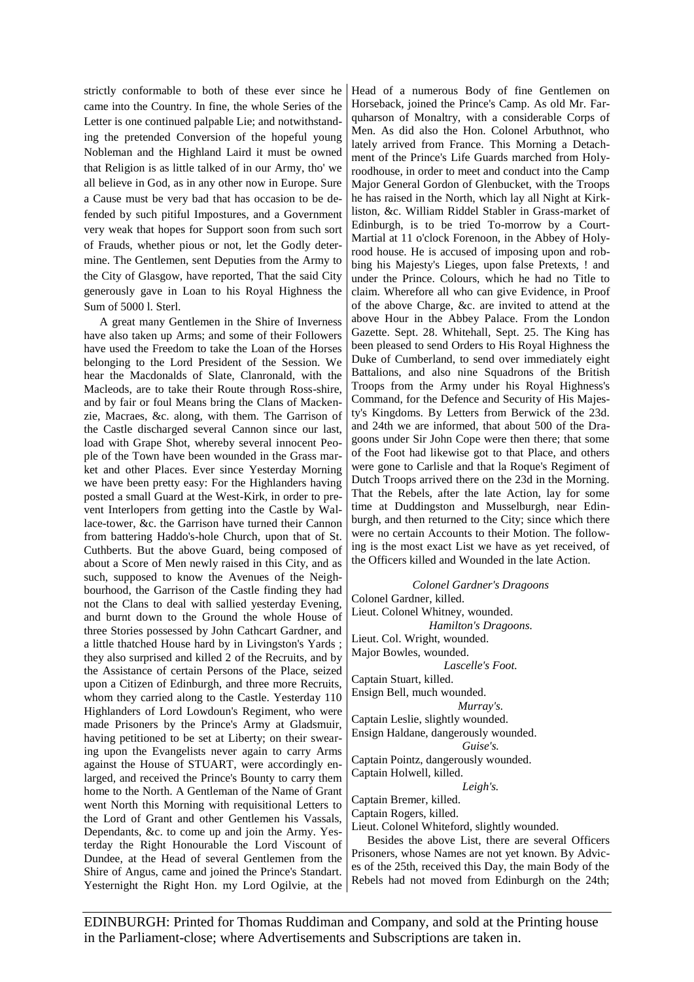strictly conformable to both of these ever since he came into the Country. In fine, the whole Series of the Letter is one continued palpable Lie; and notwithstanding the pretended Conversion of the hopeful young Nobleman and the Highland Laird it must be owned that Religion is as little talked of in our Army, tho' we all believe in God, as in any other now in Europe. Sure a Cause must be very bad that has occasion to be defended by such pitiful Impostures, and a Government very weak that hopes for Support soon from such sort of Frauds, whether pious or not, let the Godly determine. The Gentlemen, sent Deputies from the Army to the City of Glasgow, have reported, That the said City generously gave in Loan to his Royal Highness the Sum of 5000 l. Sterl.

A great many Gentlemen in the Shire of Inverness have also taken up Arms; and some of their Followers have used the Freedom to take the Loan of the Horses belonging to the Lord President of the Session. We hear the Macdonalds of Slate, Clanronald, with the Macleods, are to take their Route through Ross-shire, and by fair or foul Means bring the Clans of Mackenzie, Macraes, &c. along, with them. The Garrison of the Castle discharged several Cannon since our last, load with Grape Shot, whereby several innocent People of the Town have been wounded in the Grass market and other Places. Ever since Yesterday Morning we have been pretty easy: For the Highlanders having posted a small Guard at the West-Kirk, in order to prevent Interlopers from getting into the Castle by Wallace-tower, &c. the Garrison have turned their Cannon from battering Haddo's-hole Church, upon that of St. Cuthberts. But the above Guard, being composed of about a Score of Men newly raised in this City, and as such, supposed to know the Avenues of the Neighbourhood, the Garrison of the Castle finding they had not the Clans to deal with sallied yesterday Evening, and burnt down to the Ground the whole House of three Stories possessed by John Cathcart Gardner, and a little thatched House hard by in Livingston's Yards ; they also surprised and killed 2 of the Recruits, and by the Assistance of certain Persons of the Place, seized upon a Citizen of Edinburgh, and three more Recruits, whom they carried along to the Castle. Yesterday 110 Highlanders of Lord Lowdoun's Regiment, who were made Prisoners by the Prince's Army at Gladsmuir, having petitioned to be set at Liberty; on their swearing upon the Evangelists never again to carry Arms against the House of STUART, were accordingly enlarged, and received the Prince's Bounty to carry them home to the North. A Gentleman of the Name of Grant went North this Morning with requisitional Letters to the Lord of Grant and other Gentlemen his Vassals, Dependants, &c. to come up and join the Army. Yesterday the Right Honourable the Lord Viscount of Dundee, at the Head of several Gentlemen from the Shire of Angus, came and joined the Prince's Standart. Yesternight the Right Hon. my Lord Ogilvie, at the

Head of a numerous Body of fine Gentlemen on Horseback, joined the Prince's Camp. As old Mr. Farquharson of Monaltry, with a considerable Corps of Men. As did also the Hon. Colonel Arbuthnot, who lately arrived from France. This Morning a Detachment of the Prince's Life Guards marched from Holyroodhouse, in order to meet and conduct into the Camp Major General Gordon of Glenbucket, with the Troops he has raised in the North, which lay all Night at Kirkliston, &c. William Riddel Stabler in Grass-market of Edinburgh, is to be tried To-morrow by a Court-Martial at 11 o'clock Forenoon, in the Abbey of Holyrood house. He is accused of imposing upon and robbing his Majesty's Lieges, upon false Pretexts, ! and under the Prince. Colours, which he had no Title to claim. Wherefore all who can give Evidence, in Proof of the above Charge, &c. are invited to attend at the above Hour in the Abbey Palace. From the London Gazette. Sept. 28. Whitehall, Sept. 25. The King has been pleased to send Orders to His Royal Highness the Duke of Cumberland, to send over immediately eight Battalions, and also nine Squadrons of the British Troops from the Army under his Royal Highness's Command, for the Defence and Security of His Majesty's Kingdoms. By Letters from Berwick of the 23d. and 24th we are informed, that about 500 of the Dragoons under Sir John Cope were then there; that some of the Foot had likewise got to that Place, and others were gone to Carlisle and that la Roque's Regiment of Dutch Troops arrived there on the 23d in the Morning. That the Rebels, after the late Action, lay for some time at Duddingston and Musselburgh, near Edinburgh, and then returned to the City; since which there were no certain Accounts to their Motion. The following is the most exact List we have as yet received, of the Officers killed and Wounded in the late Action.

*Colonel Gardner's Dragoons* Colonel Gardner, killed. Lieut. Colonel Whitney, wounded. *Hamilton's Dragoons.* Lieut. Col. Wright, wounded. Major Bowles, wounded. *Lascelle's Foot.* Captain Stuart, killed. Ensign Bell, much wounded. *Murray's.* Captain Leslie, slightly wounded. Ensign Haldane, dangerously wounded. *Guise's.* Captain Pointz, dangerously wounded. Captain Holwell, killed. *Leigh's.* Captain Bremer, killed. Captain Rogers, killed. Lieut. Colonel Whiteford, slightly wounded.

Besides the above List, there are several Officers Prisoners, whose Names are not yet known. By Advices of the 25th, received this Day, the main Body of the Rebels had not moved from Edinburgh on the 24th;

EDINBURGH: Printed for Thomas Ruddiman and Company, and sold at the Printing house in the Parliament-close; where Advertisements and Subscriptions are taken in.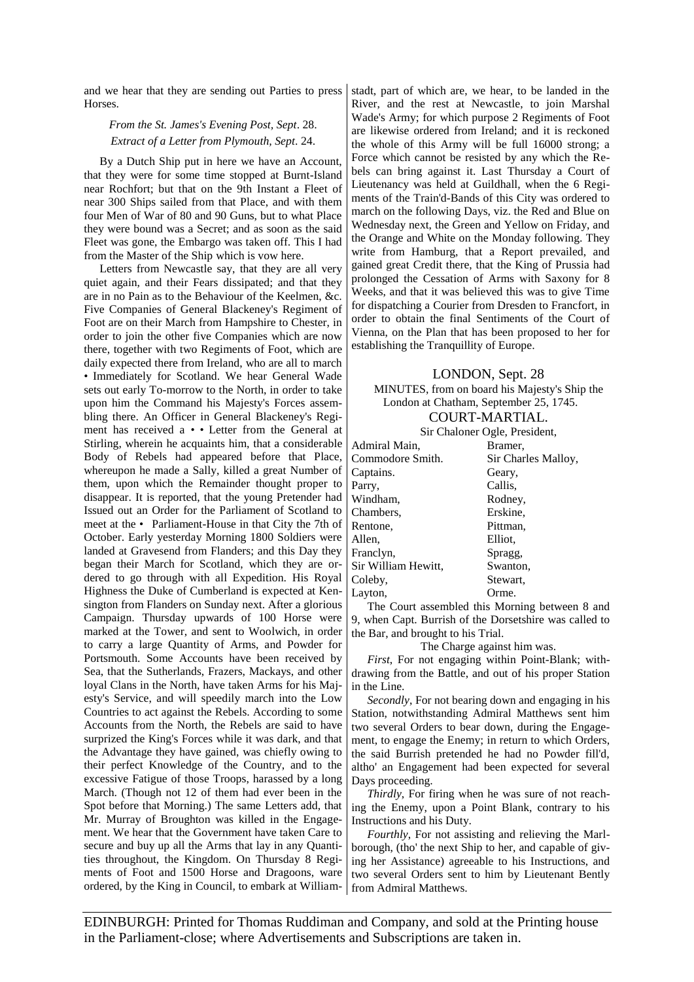and we hear that they are sending out Parties to press Horses.

### *From the St. James's Evening Post, Sept*. 28. *Extract of a Letter from Plymouth, Sept*. 24.

By a Dutch Ship put in here we have an Account, that they were for some time stopped at Burnt-Island near Rochfort; but that on the 9th Instant a Fleet of near 300 Ships sailed from that Place, and with them four Men of War of 80 and 90 Guns, but to what Place they were bound was a Secret; and as soon as the said Fleet was gone, the Embargo was taken off. This I had from the Master of the Ship which is vow here.

Letters from Newcastle say, that they are all very quiet again, and their Fears dissipated; and that they are in no Pain as to the Behaviour of the Keelmen, &c. Five Companies of General Blackeney's Regiment of Foot are on their March from Hampshire to Chester, in order to join the other five Companies which are now there, together with two Regiments of Foot, which are daily expected there from Ireland, who are all to march • Immediately for Scotland. We hear General Wade sets out early To-morrow to the North, in order to take upon him the Command his Majesty's Forces assembling there. An Officer in General Blackeney's Regiment has received a • • Letter from the General at Stirling, wherein he acquaints him, that a considerable Body of Rebels had appeared before that Place, whereupon he made a Sally, killed a great Number of them, upon which the Remainder thought proper to disappear. It is reported, that the young Pretender had Issued out an Order for the Parliament of Scotland to meet at the • Parliament-House in that City the 7th of October. Early yesterday Morning 1800 Soldiers were landed at Gravesend from Flanders; and this Day they began their March for Scotland, which they are ordered to go through with all Expedition. His Royal Highness the Duke of Cumberland is expected at Kensington from Flanders on Sunday next. After a glorious Campaign. Thursday upwards of 100 Horse were marked at the Tower, and sent to Woolwich, in order to carry a large Quantity of Arms, and Powder for Portsmouth. Some Accounts have been received by Sea, that the Sutherlands, Frazers, Mackays, and other loyal Clans in the North, have taken Arms for his Majesty's Service, and will speedily march into the Low Countries to act against the Rebels. According to some Accounts from the North, the Rebels are said to have surprized the King's Forces while it was dark, and that the Advantage they have gained, was chiefly owing to their perfect Knowledge of the Country, and to the excessive Fatigue of those Troops, harassed by a long March. (Though not 12 of them had ever been in the Spot before that Morning.) The same Letters add, that Mr. Murray of Broughton was killed in the Engagement. We hear that the Government have taken Care to secure and buy up all the Arms that lay in any Quantities throughout, the Kingdom. On Thursday 8 Regiments of Foot and 1500 Horse and Dragoons, ware ordered, by the King in Council, to embark at William-

stadt, part of which are, we hear, to be landed in the River, and the rest at Newcastle, to join Marshal Wade's Army; for which purpose 2 Regiments of Foot are likewise ordered from Ireland; and it is reckoned the whole of this Army will be full 16000 strong; a Force which cannot be resisted by any which the Rebels can bring against it. Last Thursday a Court of Lieutenancy was held at Guildhall, when the 6 Regiments of the Train'd-Bands of this City was ordered to march on the following Days, viz. the Red and Blue on Wednesday next, the Green and Yellow on Friday, and the Orange and White on the Monday following. They write from Hamburg, that a Report prevailed, and gained great Credit there, that the King of Prussia had prolonged the Cessation of Arms with Saxony for 8 Weeks, and that it was believed this was to give Time for dispatching a Courier from Dresden to Francfort, in order to obtain the final Sentiments of the Court of Vienna, on the Plan that has been proposed to her for establishing the Tranquillity of Europe.

#### LONDON, Sept. 28

MINUTES, from on board his Majesty's Ship the London at Chatham, September 25, 1745.

## COURT-MARTIAL.

Sir Chaloner Ogle, President,

| Admiral Main,       | Bramer.             |
|---------------------|---------------------|
| Commodore Smith.    | Sir Charles Malloy, |
| Captains.           | Geary,              |
| Parry,              | Callis,             |
| Windham,            | Rodney,             |
| Chambers,           | Erskine,            |
| Rentone,            | Pittman.            |
| Allen,              | Elliot.             |
| Franclyn,           | Spragg,             |
| Sir William Hewitt, | Swanton,            |
| Coleby,             | Stewart,            |
| Layton.             | Orme.               |

The Court assembled this Morning between 8 and 9, when Capt. Burrish of the Dorsetshire was called to the Bar, and brought to his Trial.

The Charge against him was.

*First*, For not engaging within Point-Blank; withdrawing from the Battle, and out of his proper Station in the Line.

*Secondly*, For not bearing down and engaging in his Station, notwithstanding Admiral Matthews sent him two several Orders to bear down, during the Engagement, to engage the Enemy; in return to which Orders, the said Burrish pretended he had no Powder fill'd, altho' an Engagement had been expected for several Days proceeding.

*Thirdly*, For firing when he was sure of not reaching the Enemy, upon a Point Blank, contrary to his Instructions and his Duty.

*Fourthly*, For not assisting and relieving the Marlborough, (tho' the next Ship to her, and capable of giving her Assistance) agreeable to his Instructions, and two several Orders sent to him by Lieutenant Bently from Admiral Matthews.

EDINBURGH: Printed for Thomas Ruddiman and Company, and sold at the Printing house in the Parliament-close; where Advertisements and Subscriptions are taken in.